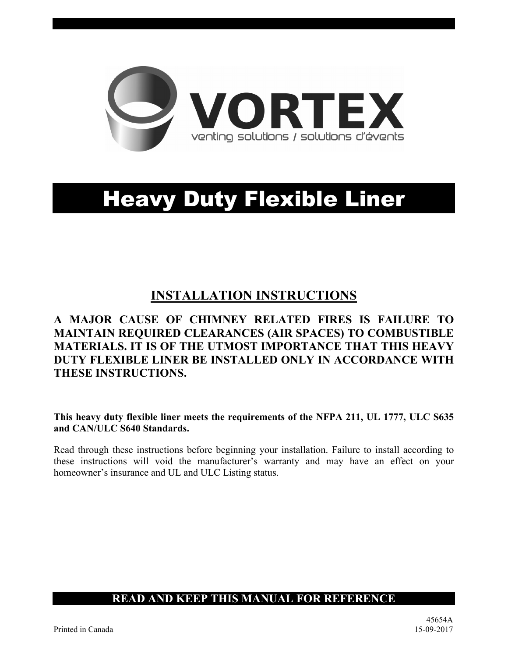

# Heavy Duty Flexible Liner

# INSTALLATION INSTRUCTIONS

## A MAJOR CAUSE OF CHIMNEY RELATED FIRES IS FAILURE TO MAINTAIN REQUIRED CLEARANCES (AIR SPACES) TO COMBUSTIBLE MATERIALS. IT IS OF THE UTMOST IMPORTANCE THAT THIS HEAVY DUTY FLEXIBLE LINER BE INSTALLED ONLY IN ACCORDANCE WITH THESE INSTRUCTIONS.

This heavy duty flexible liner meets the requirements of the NFPA 211, UL 1777, ULC S635 and CAN/ULC S640 Standards.

Read through these instructions before beginning your installation. Failure to install according to these instructions will void the manufacturer's warranty and may have an effect on your homeowner's insurance and UL and ULC Listing status.

## READ AND KEEP THIS MANUAL FOR REFERENCE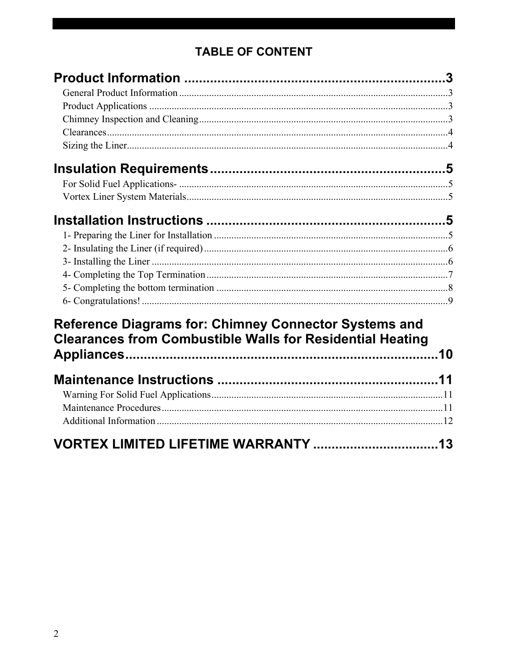# **TABLE OF CONTENT**

| Reference Diagrams for: Chimney Connector Systems and<br><b>Clearances from Combustible Walls for Residential Heating</b> |  |
|---------------------------------------------------------------------------------------------------------------------------|--|
|                                                                                                                           |  |
|                                                                                                                           |  |
|                                                                                                                           |  |
| <b>VORTEX LIMITED LIFETIME WARRANTY </b><br>13                                                                            |  |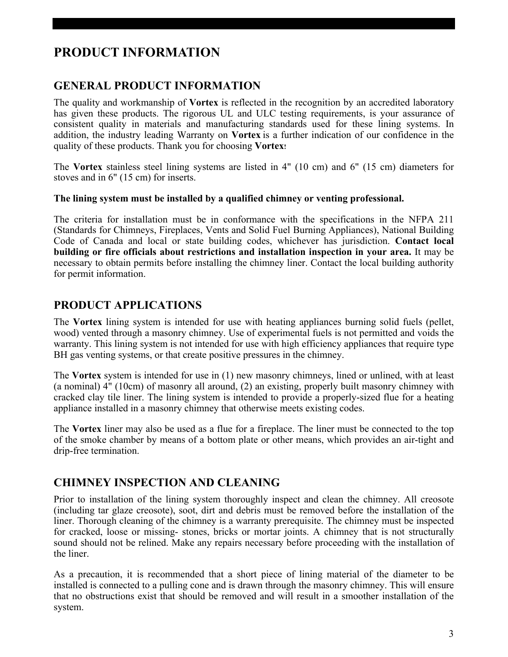# PRODUCT INFORMATION

## GENERAL PRODUCT INFORMATION

The quality and workmanship of **Vortex** is reflected in the recognition by an accredited laboratory has given these products. The rigorous UL and ULC testing requirements, is your assurance of consistent quality in materials and manufacturing standards used for these lining systems. In addition, the industry leading Warranty on Vortex is a further indication of our confidence in the quality of these products. Thank you for choosing Vortex!

The Vortex stainless steel lining systems are listed in 4" (10 cm) and 6" (15 cm) diameters for stoves and in 6" (15 cm) for inserts.

#### The lining system must be installed by a qualified chimney or venting professional.

The criteria for installation must be in conformance with the specifications in the NFPA 211 (Standards for Chimneys, Fireplaces, Vents and Solid Fuel Burning Appliances), National Building Code of Canada and local or state building codes, whichever has jurisdiction. Contact local building or fire officials about restrictions and installation inspection in your area. It may be necessary to obtain permits before installing the chimney liner. Contact the local building authority for permit information.

#### PRODUCT APPLICATIONS

The Vortex lining system is intended for use with heating appliances burning solid fuels (pellet, wood) vented through a masonry chimney. Use of experimental fuels is not permitted and voids the warranty. This lining system is not intended for use with high efficiency appliances that require type BH gas venting systems, or that create positive pressures in the chimney.

The Vortex system is intended for use in (1) new masonry chimneys, lined or unlined, with at least (a nominal) 4" (10cm) of masonry all around, (2) an existing, properly built masonry chimney with cracked clay tile liner. The lining system is intended to provide a properly-sized flue for a heating appliance installed in a masonry chimney that otherwise meets existing codes.

The Vortex liner may also be used as a flue for a fireplace. The liner must be connected to the top of the smoke chamber by means of a bottom plate or other means, which provides an air-tight and drip-free termination.

## CHIMNEY INSPECTION AND CLEANING

Prior to installation of the lining system thoroughly inspect and clean the chimney. All creosote (including tar glaze creosote), soot, dirt and debris must be removed before the installation of the liner. Thorough cleaning of the chimney is a warranty prerequisite. The chimney must be inspected for cracked, loose or missing- stones, bricks or mortar joints. A chimney that is not structurally sound should not be relined. Make any repairs necessary before proceeding with the installation of the liner.

As a precaution, it is recommended that a short piece of lining material of the diameter to be installed is connected to a pulling cone and is drawn through the masonry chimney. This will ensure that no obstructions exist that should be removed and will result in a smoother installation of the system.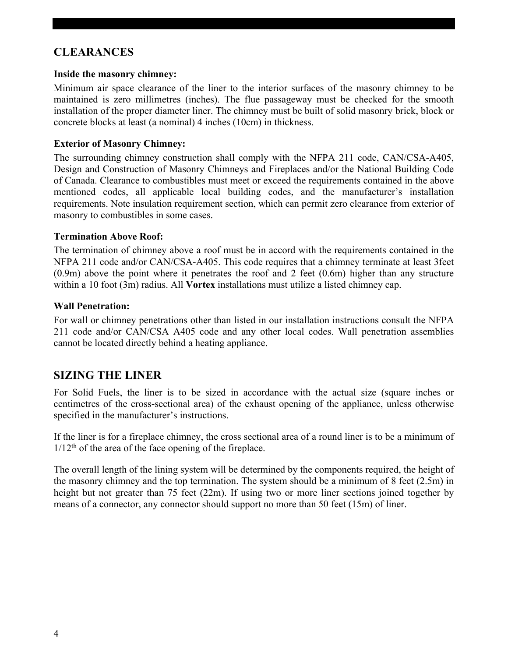## **CLEARANCES**

#### Inside the masonry chimney:

Minimum air space clearance of the liner to the interior surfaces of the masonry chimney to be maintained is zero millimetres (inches). The flue passageway must be checked for the smooth installation of the proper diameter liner. The chimney must be built of solid masonry brick, block or concrete blocks at least (a nominal) 4 inches (10cm) in thickness.

#### Exterior of Masonry Chimney:

The surrounding chimney construction shall comply with the NFPA 211 code, CAN/CSA-A405, Design and Construction of Masonry Chimneys and Fireplaces and/or the National Building Code of Canada. Clearance to combustibles must meet or exceed the requirements contained in the above mentioned codes, all applicable local building codes, and the manufacturer's installation requirements. Note insulation requirement section, which can permit zero clearance from exterior of masonry to combustibles in some cases.

#### Termination Above Roof:

The termination of chimney above a roof must be in accord with the requirements contained in the NFPA 211 code and/or CAN/CSA-A405. This code requires that a chimney terminate at least 3feet (0.9m) above the point where it penetrates the roof and 2 feet (0.6m) higher than any structure within a 10 foot (3m) radius. All **Vortex** installations must utilize a listed chimney cap.

#### Wall Penetration:

For wall or chimney penetrations other than listed in our installation instructions consult the NFPA 211 code and/or CAN/CSA A405 code and any other local codes. Wall penetration assemblies cannot be located directly behind a heating appliance.

#### SIZING THE LINER

For Solid Fuels, the liner is to be sized in accordance with the actual size (square inches or centimetres of the cross-sectional area) of the exhaust opening of the appliance, unless otherwise specified in the manufacturer's instructions.

If the liner is for a fireplace chimney, the cross sectional area of a round liner is to be a minimum of  $1/12<sup>th</sup>$  of the area of the face opening of the fireplace.

The overall length of the lining system will be determined by the components required, the height of the masonry chimney and the top termination. The system should be a minimum of 8 feet (2.5m) in height but not greater than 75 feet (22m). If using two or more liner sections joined together by means of a connector, any connector should support no more than 50 feet (15m) of liner.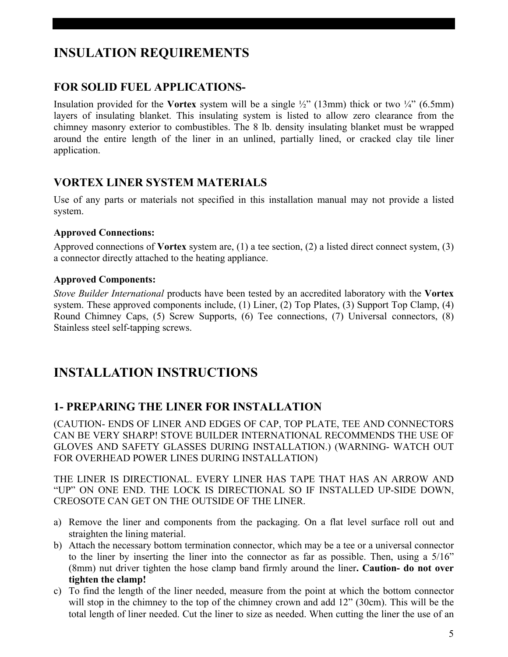# INSULATION REQUIREMENTS

### FOR SOLID FUEL APPLICATIONS-

Insulation provided for the Vortex system will be a single  $\frac{1}{2}$ " (13mm) thick or two  $\frac{1}{4}$ " (6.5mm) layers of insulating blanket. This insulating system is listed to allow zero clearance from the chimney masonry exterior to combustibles. The 8 lb. density insulating blanket must be wrapped around the entire length of the liner in an unlined, partially lined, or cracked clay tile liner application.

### VORTEX LINER SYSTEM MATERIALS

Use of any parts or materials not specified in this installation manual may not provide a listed system.

#### Approved Connections:

Approved connections of Vortex system are, (1) a tee section, (2) a listed direct connect system, (3) a connector directly attached to the heating appliance.

#### Approved Components:

*Stove Builder International* products have been tested by an accredited laboratory with the Vortex system. These approved components include, (1) Liner, (2) Top Plates, (3) Support Top Clamp, (4) Round Chimney Caps, (5) Screw Supports, (6) Tee connections, (7) Universal connectors, (8) Stainless steel self-tapping screws.

# INSTALLATION INSTRUCTIONS

## 1- PREPARING THE LINER FOR INSTALLATION

(CAUTION- ENDS OF LINER AND EDGES OF CAP, TOP PLATE, TEE AND CONNECTORS CAN BE VERY SHARP! STOVE BUILDER INTERNATIONAL RECOMMENDS THE USE OF GLOVES AND SAFETY GLASSES DURING INSTALLATION.) (WARNING- WATCH OUT FOR OVERHEAD POWER LINES DURING INSTALLATION)

THE LINER IS DIRECTIONAL. EVERY LINER HAS TAPE THAT HAS AN ARROW AND "UP" ON ONE END. THE LOCK IS DIRECTIONAL SO IF INSTALLED UP-SIDE DOWN, CREOSOTE CAN GET ON THE OUTSIDE OF THE LINER.

- a) Remove the liner and components from the packaging. On a flat level surface roll out and straighten the lining material.
- b) Attach the necessary bottom termination connector, which may be a tee or a universal connector to the liner by inserting the liner into the connector as far as possible. Then, using a 5/16" (8mm) nut driver tighten the hose clamp band firmly around the liner. Caution- do not over tighten the clamp!
- c) To find the length of the liner needed, measure from the point at which the bottom connector will stop in the chimney to the top of the chimney crown and add 12" (30cm). This will be the total length of liner needed. Cut the liner to size as needed. When cutting the liner the use of an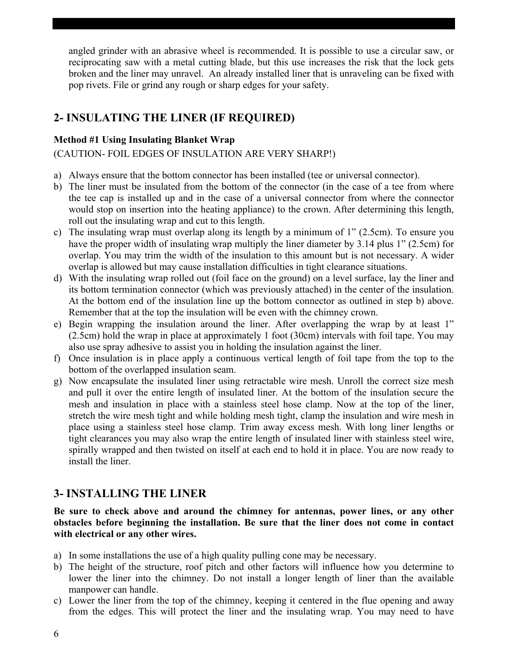angled grinder with an abrasive wheel is recommended. It is possible to use a circular saw, or reciprocating saw with a metal cutting blade, but this use increases the risk that the lock gets broken and the liner may unravel. An already installed liner that is unraveling can be fixed with pop rivets. File or grind any rough or sharp edges for your safety.

## 2- INSULATING THE LINER (IF REQUIRED)

#### Method #1 Using Insulating Blanket Wrap

(CAUTION- FOIL EDGES OF INSULATION ARE VERY SHARP!)

- a) Always ensure that the bottom connector has been installed (tee or universal connector).
- b) The liner must be insulated from the bottom of the connector (in the case of a tee from where the tee cap is installed up and in the case of a universal connector from where the connector would stop on insertion into the heating appliance) to the crown. After determining this length, roll out the insulating wrap and cut to this length.
- c) The insulating wrap must overlap along its length by a minimum of 1" (2.5cm). To ensure you have the proper width of insulating wrap multiply the liner diameter by 3.14 plus 1" (2.5cm) for overlap. You may trim the width of the insulation to this amount but is not necessary. A wider overlap is allowed but may cause installation difficulties in tight clearance situations.
- d) With the insulating wrap rolled out (foil face on the ground) on a level surface, lay the liner and its bottom termination connector (which was previously attached) in the center of the insulation. At the bottom end of the insulation line up the bottom connector as outlined in step b) above. Remember that at the top the insulation will be even with the chimney crown.
- e) Begin wrapping the insulation around the liner. After overlapping the wrap by at least 1" (2.5cm) hold the wrap in place at approximately 1 foot (30cm) intervals with foil tape. You may also use spray adhesive to assist you in holding the insulation against the liner.
- f) Once insulation is in place apply a continuous vertical length of foil tape from the top to the bottom of the overlapped insulation seam.
- g) Now encapsulate the insulated liner using retractable wire mesh. Unroll the correct size mesh and pull it over the entire length of insulated liner. At the bottom of the insulation secure the mesh and insulation in place with a stainless steel hose clamp. Now at the top of the liner, stretch the wire mesh tight and while holding mesh tight, clamp the insulation and wire mesh in place using a stainless steel hose clamp. Trim away excess mesh. With long liner lengths or tight clearances you may also wrap the entire length of insulated liner with stainless steel wire, spirally wrapped and then twisted on itself at each end to hold it in place. You are now ready to install the liner.

## 3- INSTALLING THE LINER

Be sure to check above and around the chimney for antennas, power lines, or any other obstacles before beginning the installation. Be sure that the liner does not come in contact with electrical or any other wires.

- a) In some installations the use of a high quality pulling cone may be necessary.
- b) The height of the structure, roof pitch and other factors will influence how you determine to lower the liner into the chimney. Do not install a longer length of liner than the available manpower can handle.
- c) Lower the liner from the top of the chimney, keeping it centered in the flue opening and away from the edges. This will protect the liner and the insulating wrap. You may need to have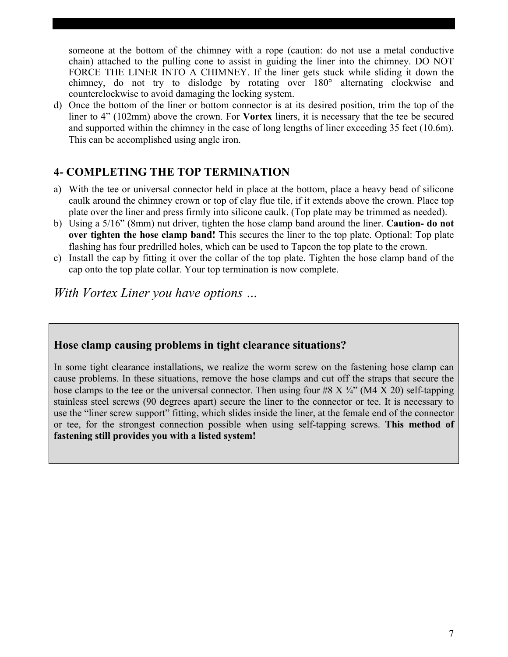someone at the bottom of the chimney with a rope (caution: do not use a metal conductive chain) attached to the pulling cone to assist in guiding the liner into the chimney. DO NOT FORCE THE LINER INTO A CHIMNEY. If the liner gets stuck while sliding it down the chimney, do not try to dislodge by rotating over 180° alternating clockwise and counterclockwise to avoid damaging the locking system.

d) Once the bottom of the liner or bottom connector is at its desired position, trim the top of the liner to 4" (102mm) above the crown. For Vortex liners, it is necessary that the tee be secured and supported within the chimney in the case of long lengths of liner exceeding 35 feet (10.6m). This can be accomplished using angle iron.

### 4- COMPLETING THE TOP TERMINATION

- a) With the tee or universal connector held in place at the bottom, place a heavy bead of silicone caulk around the chimney crown or top of clay flue tile, if it extends above the crown. Place top plate over the liner and press firmly into silicone caulk. (Top plate may be trimmed as needed).
- b) Using a 5/16" (8mm) nut driver, tighten the hose clamp band around the liner. Caution- do not over tighten the hose clamp band! This secures the liner to the top plate. Optional: Top plate flashing has four predrilled holes, which can be used to Tapcon the top plate to the crown.
- c) Install the cap by fitting it over the collar of the top plate. Tighten the hose clamp band of the cap onto the top plate collar. Your top termination is now complete.

*With Vortex Liner you have options …*

#### Hose clamp causing problems in tight clearance situations?

In some tight clearance installations, we realize the worm screw on the fastening hose clamp can cause problems. In these situations, remove the hose clamps and cut off the straps that secure the hose clamps to the tee or the universal connector. Then using four #8 X  $\frac{3}{4}$ " (M4 X 20) self-tapping stainless steel screws (90 degrees apart) secure the liner to the connector or tee. It is necessary to use the "liner screw support" fitting, which slides inside the liner, at the female end of the connector or tee, for the strongest connection possible when using self-tapping screws. This method of fastening still provides you with a listed system!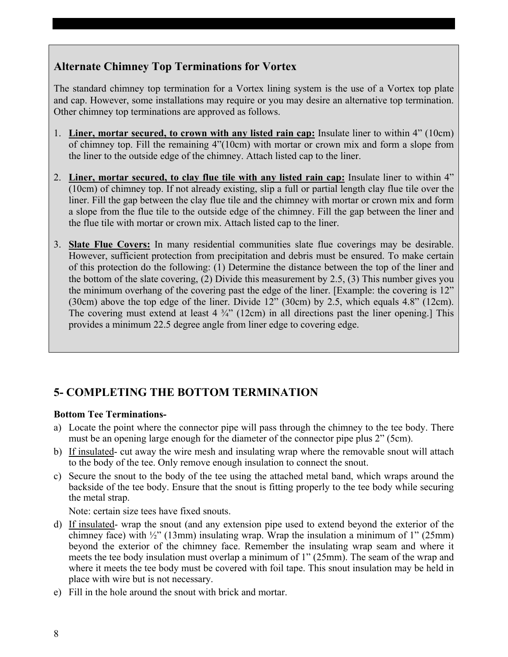## Alternate Chimney Top Terminations for Vortex

The standard chimney top termination for a Vortex lining system is the use of a Vortex top plate and cap. However, some installations may require or you may desire an alternative top termination. Other chimney top terminations are approved as follows.

- 1. Liner, mortar secured, to crown with any listed rain cap: Insulate liner to within 4" (10cm) of chimney top. Fill the remaining 4"(10cm) with mortar or crown mix and form a slope from the liner to the outside edge of the chimney. Attach listed cap to the liner.
- 2. Liner, mortar secured, to clay flue tile with any listed rain cap: Insulate liner to within 4" (10cm) of chimney top. If not already existing, slip a full or partial length clay flue tile over the liner. Fill the gap between the clay flue tile and the chimney with mortar or crown mix and form a slope from the flue tile to the outside edge of the chimney. Fill the gap between the liner and the flue tile with mortar or crown mix. Attach listed cap to the liner.
- 3. Slate Flue Covers: In many residential communities slate flue coverings may be desirable. However, sufficient protection from precipitation and debris must be ensured. To make certain of this protection do the following: (1) Determine the distance between the top of the liner and the bottom of the slate covering, (2) Divide this measurement by 2.5, (3) This number gives you the minimum overhang of the covering past the edge of the liner. [Example: the covering is 12" (30cm) above the top edge of the liner. Divide 12" (30cm) by 2.5, which equals 4.8" (12cm). The covering must extend at least  $4\frac{3}{4}$  (12cm) in all directions past the liner opening.] This provides a minimum 22.5 degree angle from liner edge to covering edge.

## 5- COMPLETING THE BOTTOM TERMINATION

#### Bottom Tee Terminations-

- a) Locate the point where the connector pipe will pass through the chimney to the tee body. There must be an opening large enough for the diameter of the connector pipe plus 2" (5cm).
- b) If insulated- cut away the wire mesh and insulating wrap where the removable snout will attach to the body of the tee. Only remove enough insulation to connect the snout.
- c) Secure the snout to the body of the tee using the attached metal band, which wraps around the backside of the tee body. Ensure that the snout is fitting properly to the tee body while securing the metal strap.

Note: certain size tees have fixed snouts.

- d) If insulated- wrap the snout (and any extension pipe used to extend beyond the exterior of the chimney face) with  $\frac{1}{2}$  (13mm) insulating wrap. Wrap the insulation a minimum of 1" (25mm) beyond the exterior of the chimney face. Remember the insulating wrap seam and where it meets the tee body insulation must overlap a minimum of 1" (25mm). The seam of the wrap and where it meets the tee body must be covered with foil tape. This snout insulation may be held in place with wire but is not necessary.
- e) Fill in the hole around the snout with brick and mortar.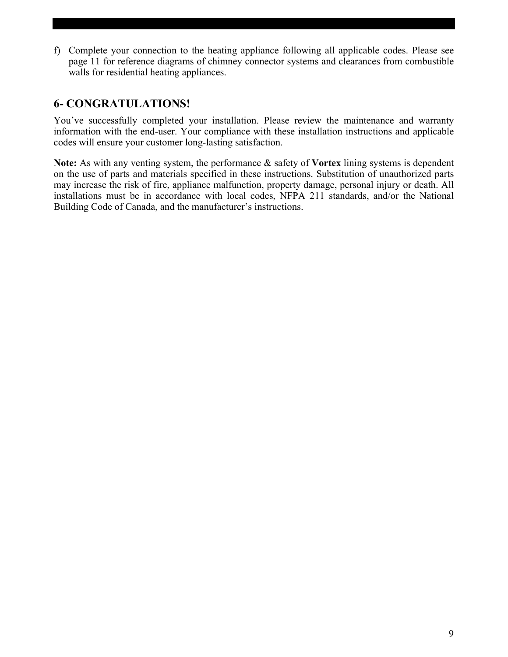f) Complete your connection to the heating appliance following all applicable codes. Please see page 11 for reference diagrams of chimney connector systems and clearances from combustible walls for residential heating appliances.

## 6- CONGRATULATIONS!

You've successfully completed your installation. Please review the maintenance and warranty information with the end-user. Your compliance with these installation instructions and applicable codes will ensure your customer long-lasting satisfaction.

Note: As with any venting system, the performance & safety of Vortex lining systems is dependent on the use of parts and materials specified in these instructions. Substitution of unauthorized parts may increase the risk of fire, appliance malfunction, property damage, personal injury or death. All installations must be in accordance with local codes, NFPA 211 standards, and/or the National Building Code of Canada, and the manufacturer's instructions.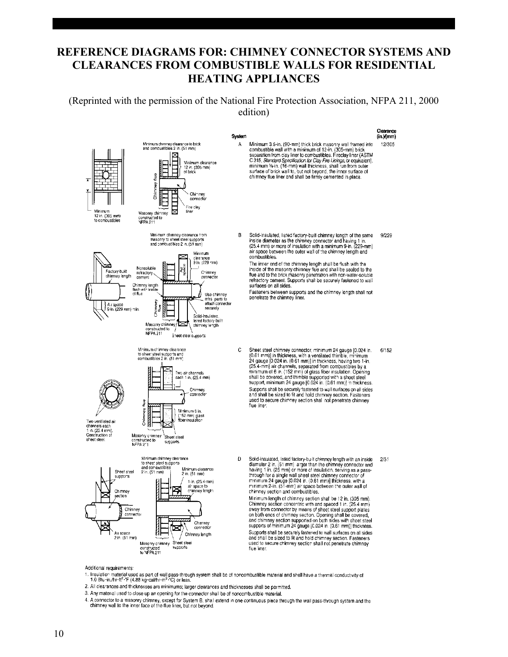#### REFERENCE DIAGRAMS FOR: CHIMNEY CONNECTOR SYSTEMS AND CLEARANCES FROM COMBUSTIBLE WALLS FOR RESIDENTIAL HEATING APPLIANCES

(Reprinted with the permission of the National Fire Protection Association, NFPA 211, 2000 edition)



Additional requirements:

- 1. Insulation material used as part of wall pass-through system shall be of noncombustible material and shall have a thermal conductivity of 1.0 Blu-in:/hr-ft2.iF (4.88 kg-cal/hr-m2-iC) or less.
- 2. All clearances and thicknesses are minimums; larger clearances and thicknesses shall be permitted.
- 3. Any material used to close up an opening for the connector shall be of noncombustible material.
- 4. A connector to a masonry chimney, except for System B, shall extend in one continuous piece through the wall pass-through system and the chimney wall to the inner face of the flue liner, but not beyond.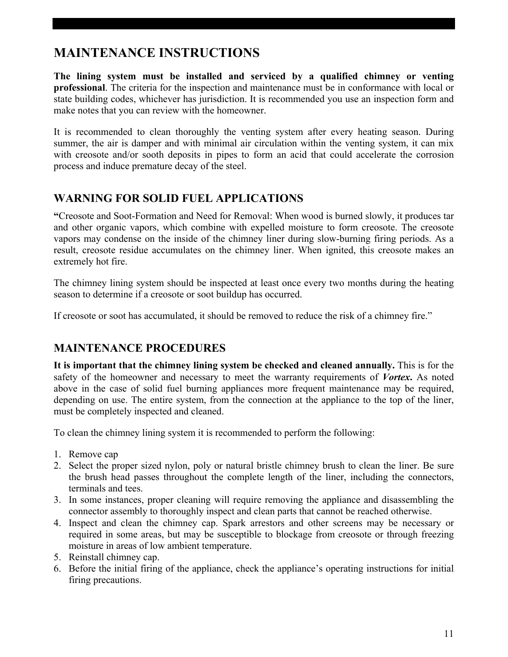# MAINTENANCE INSTRUCTIONS

The lining system must be installed and serviced by a qualified chimney or venting professional. The criteria for the inspection and maintenance must be in conformance with local or state building codes, whichever has jurisdiction. It is recommended you use an inspection form and make notes that you can review with the homeowner.

It is recommended to clean thoroughly the venting system after every heating season. During summer, the air is damper and with minimal air circulation within the venting system, it can mix with creosote and/or sooth deposits in pipes to form an acid that could accelerate the corrosion process and induce premature decay of the steel.

## WARNING FOR SOLID FUEL APPLICATIONS

"Creosote and Soot-Formation and Need for Removal: When wood is burned slowly, it produces tar and other organic vapors, which combine with expelled moisture to form creosote. The creosote vapors may condense on the inside of the chimney liner during slow-burning firing periods. As a result, creosote residue accumulates on the chimney liner. When ignited, this creosote makes an extremely hot fire.

The chimney lining system should be inspected at least once every two months during the heating season to determine if a creosote or soot buildup has occurred.

If creosote or soot has accumulated, it should be removed to reduce the risk of a chimney fire."

#### MAINTENANCE PROCEDURES

It is important that the chimney lining system be checked and cleaned annually. This is for the safety of the homeowner and necessary to meet the warranty requirements of *Vortex*. As noted above in the case of solid fuel burning appliances more frequent maintenance may be required, depending on use. The entire system, from the connection at the appliance to the top of the liner, must be completely inspected and cleaned.

To clean the chimney lining system it is recommended to perform the following:

- 1. Remove cap
- 2. Select the proper sized nylon, poly or natural bristle chimney brush to clean the liner. Be sure the brush head passes throughout the complete length of the liner, including the connectors, terminals and tees.
- 3. In some instances, proper cleaning will require removing the appliance and disassembling the connector assembly to thoroughly inspect and clean parts that cannot be reached otherwise.
- 4. Inspect and clean the chimney cap. Spark arrestors and other screens may be necessary or required in some areas, but may be susceptible to blockage from creosote or through freezing moisture in areas of low ambient temperature.
- 5. Reinstall chimney cap.
- 6. Before the initial firing of the appliance, check the appliance's operating instructions for initial firing precautions.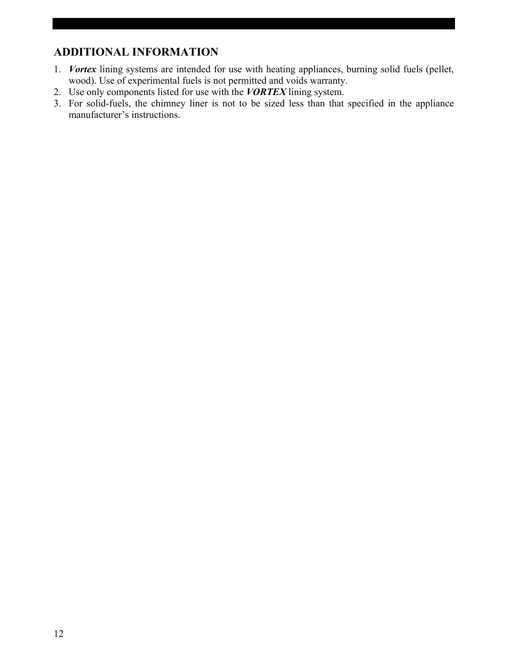## ADDITIONAL INFORMATION

- 1. *Vortex* lining systems are intended for use with heating appliances, burning solid fuels (pellet, wood). Use of experimental fuels is not permitted and voids warranty.
- 2. Use only components listed for use with the *VORTEX* lining system.
- 3. For solid-fuels, the chimney liner is not to be sized less than that specified in the appliance manufacturer's instructions.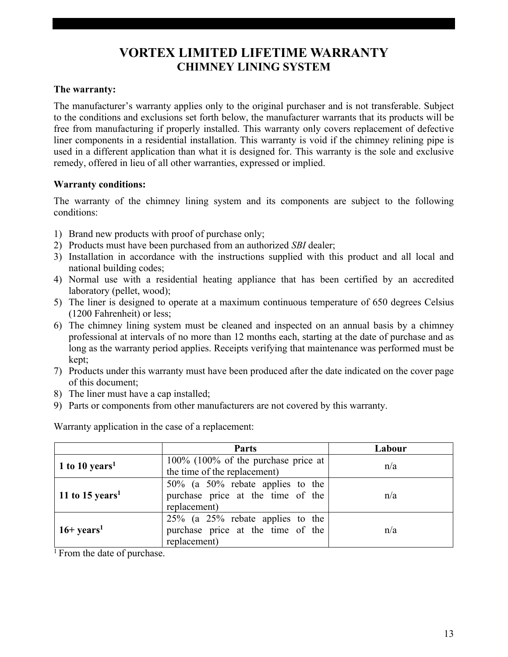## VORTEX LIMITED LIFETIME WARRANTY CHIMNEY LINING SYSTEM

#### The warranty:

The manufacturer's warranty applies only to the original purchaser and is not transferable. Subject to the conditions and exclusions set forth below, the manufacturer warrants that its products will be free from manufacturing if properly installed. This warranty only covers replacement of defective liner components in a residential installation. This warranty is void if the chimney relining pipe is used in a different application than what it is designed for. This warranty is the sole and exclusive remedy, offered in lieu of all other warranties, expressed or implied.

#### Warranty conditions:

The warranty of the chimney lining system and its components are subject to the following conditions:

- 1) Brand new products with proof of purchase only;
- 2) Products must have been purchased from an authorized *SBI* dealer;
- 3) Installation in accordance with the instructions supplied with this product and all local and national building codes;
- 4) Normal use with a residential heating appliance that has been certified by an accredited laboratory (pellet, wood);
- 5) The liner is designed to operate at a maximum continuous temperature of 650 degrees Celsius (1200 Fahrenheit) or less;
- 6) The chimney lining system must be cleaned and inspected on an annual basis by a chimney professional at intervals of no more than 12 months each, starting at the date of purchase and as long as the warranty period applies. Receipts verifying that maintenance was performed must be kept;
- 7) Products under this warranty must have been produced after the date indicated on the cover page of this document;
- 8) The liner must have a cap installed;
- 9) Parts or components from other manufacturers are not covered by this warranty.

|                             | <b>Parts</b>                                                                                | Labour |
|-----------------------------|---------------------------------------------------------------------------------------------|--------|
| 1 to 10 years <sup>1</sup>  | $100\%$ (100% of the purchase price at<br>the time of the replacement)                      | n/a    |
| 11 to 15 years <sup>1</sup> | 50% (a 50% rebate applies to the<br>purchase price at the time of the<br>replacement)       | n/a    |
| $16+ \text{years}^1$        | $25\%$ (a $25\%$ rebate applies to the<br>purchase price at the time of the<br>replacement) | n/a    |

Warranty application in the case of a replacement:

<sup>1</sup> From the date of purchase.